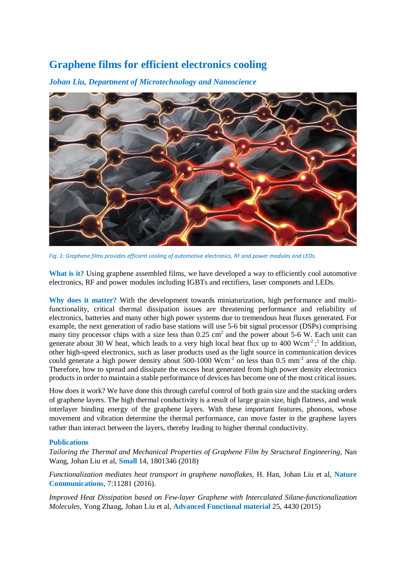## **Graphene films for efficient electronics cooling**



*Johan Liu, Department of Microtechnology and Nanoscience*

*Fig. 1: Graphene films provides efficient cooling of automotive electronics, RF and power modules and LEDs.* 

What is it? Using graphene assembled films, we have developed a way to efficiently cool automotive electronics, RF and power modules including IGBTs and rectifiers, laser componets and LEDs.

**Why does it matter?** With the development towards miniaturization, high performance and multifunctionality, critical thermal dissipation issues are threatening performance and reliability of electronics, batteries and many other high power systems due to tremendous heat fluxes generated. For example, the next generation of radio base stations will use 5-6 bit signal processor (DSPs) comprising many tiny processor chips with a size less than  $0.25 \text{ cm}^2$  and the power about 5-6 W. Each unit can generate about 30 W heat, which leads to a very high local heat flux up to 400  $Wcm<sup>2</sup>$ ;<sup>1</sup> In addition, other high-speed electronics, such as laser products used as the light source in communication devices could generate a high power density about  $500-1000$  Wcm<sup>-2</sup> on less than  $0.5$  mm<sup>-2</sup> area of the chip. Therefore, how to spread and dissipate the excess heat generated from high power density electronics products in order to maintain a stable performance of devices has become one of the most critical issues.

How does it work? We have done this through careful control of both grain size and the stacking orders of graphene layers. The high thermal conductivity is a result of large grain size, high flatness, and weak interlayer binding energy of the graphene layers. With these important features, phonons, whose movement and vibration determine the thermal performance, can move faster in the graphene layers rather than interact between the layers, thereby leading to higher thermal conductivity.

## **Publications**

*Tailoring the Thermal and Mechanical Properties of Graphene Film by Structural Engineering*, Nan Wang, Johan Liu et al, **Small** 14, 1801346 (2018)

*Functionalization mediates heat transport in graphene nanoflakes*, H. Han, Johan Liu et al, **Nature Communications**, 7:11281 (2016).

*Improved Heat Dissipation based on Few-layer Graphene with Intercalated Silane-functionalization Molecules*, Yong Zhang, Johan Liu et al, **Advanced Functional material** 25, 4430 (2015)